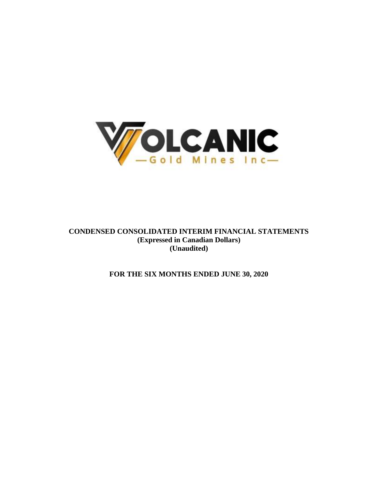

**CONDENSED CONSOLIDATED INTERIM FINANCIAL STATEMENTS (Expressed in Canadian Dollars) (Unaudited)**

**FOR THE SIX MONTHS ENDED JUNE 30, 2020**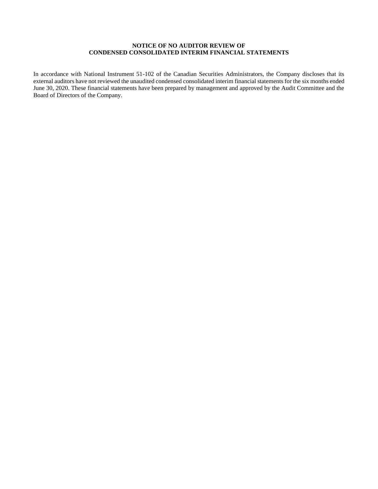# **NOTICE OF NO AUDITOR REVIEW OF CONDENSED CONSOLIDATED INTERIM FINANCIAL STATEMENTS**

In accordance with National Instrument 51-102 of the Canadian Securities Administrators, the Company discloses that its external auditors have not reviewed the unaudited condensed consolidated interim financial statements for the six months ended June 30, 2020. These financial statements have been prepared by management and approved by the Audit Committee and the Board of Directors of the Company.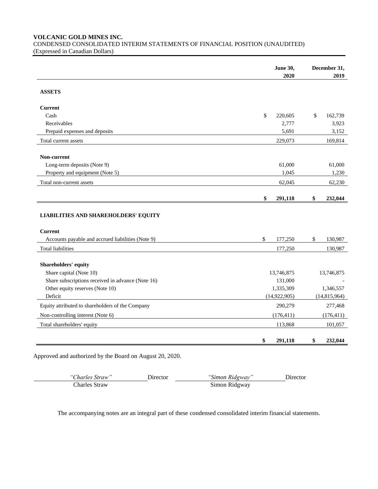**VOLCANIC GOLD MINES INC.**

CONDENSED CONSOLIDATED INTERIM STATEMENTS OF FINANCIAL POSITION (UNAUDITED) (Expressed in Canadian Dollars)

|                                                   | <b>June 30,</b> | December 31,   |
|---------------------------------------------------|-----------------|----------------|
|                                                   | 2020            | 2019           |
| <b>ASSETS</b>                                     |                 |                |
| <b>Current</b>                                    |                 |                |
| Cash                                              | \$<br>220,605   | \$<br>162,739  |
| Receivables                                       | 2,777           | 3,923          |
| Prepaid expenses and deposits                     | 5,691           | 3,152          |
| Total current assets                              | 229,073         | 169,814        |
| Non-current                                       |                 |                |
| Long-term deposits (Note 9)                       | 61,000          | 61,000         |
| Property and equipment (Note 5)                   | 1,045           | 1,230          |
| Total non-current assets                          | 62,045          | 62,230         |
|                                                   | \$<br>291,118   | 232,044<br>\$  |
| <b>LIABILITIES AND SHAREHOLDERS' EQUITY</b>       |                 |                |
| <b>Current</b>                                    |                 |                |
| Accounts payable and accrued liabilities (Note 9) | \$<br>177,250   | \$<br>130,987  |
| <b>Total liabilities</b>                          | 177,250         | 130,987        |
| Shareholders' equity                              |                 |                |
| Share capital (Note 10)                           | 13,746,875      | 13,746,875     |
| Share subscriptions received in advance (Note 16) | 131,000         |                |
| Other equity reserves (Note 10)                   | 1,335,309       | 1,346,557      |
| Deficit                                           | (14, 922, 905)  | (14, 815, 964) |
| Equity attributed to shareholders of the Company  | 290,279         | 277,468        |
| Non-controlling interest (Note 6)                 | (176, 411)      | (176, 411)     |
| Total shareholders' equity                        | 113,868         | 101,057        |
|                                                   | \$<br>291.118   | \$<br>232,044  |

Approved and authorized by the Board on August 20, 2020.

*"Charles Straw"* Director *"Simon Ridgway"* Director Simon Ridgway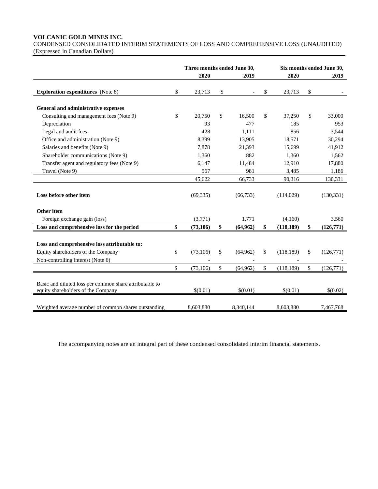## **VOLCANIC GOLD MINES INC.**

CONDENSED CONSOLIDATED INTERIM STATEMENTS OF LOSS AND COMPREHENSIVE LOSS (UNAUDITED) (Expressed in Canadian Dollars)

|                                                                                                                         | Three months ended June 30, |    |               |                  | Six months ended June 30, |            |
|-------------------------------------------------------------------------------------------------------------------------|-----------------------------|----|---------------|------------------|---------------------------|------------|
|                                                                                                                         | 2020                        |    | 2019          | 2020             |                           | 2019       |
| <b>Exploration expenditures</b> (Note 8)                                                                                | \$<br>23,713                | \$ | $\frac{1}{2}$ | \$<br>23,713     | \$                        |            |
| General and administrative expenses                                                                                     |                             |    |               |                  |                           |            |
| Consulting and management fees (Note 9)                                                                                 | \$<br>20,750                | \$ | 16,500        | \$<br>37,250     | \$                        | 33,000     |
| Depreciation                                                                                                            | 93                          |    | 477           | 185              |                           | 953        |
| Legal and audit fees                                                                                                    | 428                         |    | 1,111         | 856              |                           | 3,544      |
| Office and administration (Note 9)                                                                                      | 8,399                       |    | 13,905        | 18,571           |                           | 30,294     |
| Salaries and benefits (Note 9)                                                                                          | 7,878                       |    | 21,393        | 15,699           |                           | 41,912     |
| Shareholder communications (Note 9)                                                                                     | 1,360                       |    | 882           | 1,360            |                           | 1,562      |
| Transfer agent and regulatory fees (Note 9)                                                                             | 6,147                       |    | 11,484        | 12,910           |                           | 17,880     |
| Travel (Note 9)                                                                                                         | 567                         |    | 981           | 3,485            |                           | 1,186      |
|                                                                                                                         | 45,622                      |    | 66,733        | 90,316           |                           | 130,331    |
| Loss before other item                                                                                                  | (69, 335)                   |    | (66, 733)     | (114,029)        |                           | (130, 331) |
| Other item                                                                                                              |                             |    |               |                  |                           |            |
| Foreign exchange gain (loss)                                                                                            | (3,771)                     |    | 1,771         | (4,160)          |                           | 3,560      |
| Loss and comprehensive loss for the period                                                                              | \$<br>(73, 106)             | \$ | (64, 962)     | \$<br>(118, 189) | \$                        | (126,771)  |
| Loss and comprehensive loss attributable to:<br>Equity shareholders of the Company<br>Non-controlling interest (Note 6) | \$<br>(73,106)              | \$ | (64, 962)     | \$<br>(118, 189) | \$                        | (126,771)  |
|                                                                                                                         | \$<br>(73, 106)             | \$ | (64,962)      | \$<br>(118, 189) | \$                        | (126,771)  |
| Basic and diluted loss per common share attributable to<br>equity shareholders of the Company                           | \$(0.01)                    |    | \$(0.01)      | \$(0.01)         |                           | \$(0.02)   |
| Weighted average number of common shares outstanding                                                                    | 8.603.880                   |    | 8,340,144     | 8,603,880        |                           | 7.467.768  |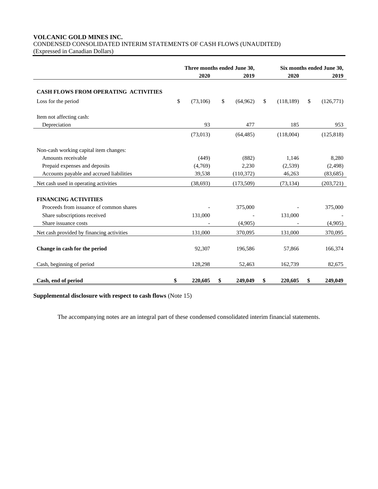# **VOLCANIC GOLD MINES INC.** CONDENSED CONSOLIDATED INTERIM STATEMENTS OF CASH FLOWS (UNAUDITED)

(Expressed in Canadian Dollars)

|                                                                    | Three months ended June 30, |           |    |           | Six months ended June 30, |            |    |            |  |
|--------------------------------------------------------------------|-----------------------------|-----------|----|-----------|---------------------------|------------|----|------------|--|
|                                                                    |                             | 2020      |    | 2019      |                           | 2020       |    | 2019       |  |
| <b>CASH FLOWS FROM OPERATING ACTIVITIES</b><br>Loss for the period | \$                          | (73, 106) | \$ | (64, 962) | \$                        | (118, 189) | \$ | (126,771)  |  |
|                                                                    |                             |           |    |           |                           |            |    |            |  |
| Item not affecting cash:                                           |                             |           |    |           |                           |            |    |            |  |
| Depreciation                                                       |                             | 93        |    | 477       |                           | 185        |    | 953        |  |
|                                                                    |                             | (73, 013) |    | (64, 485) |                           | (118,004)  |    | (125, 818) |  |
| Non-cash working capital item changes:                             |                             |           |    |           |                           |            |    |            |  |
| Amounts receivable                                                 |                             | (449)     |    | (882)     |                           | 1,146      |    | 8,280      |  |
| Prepaid expenses and deposits                                      |                             | (4,769)   |    | 2,230     |                           | (2,539)    |    | (2,498)    |  |
| Accounts payable and accrued liabilities                           |                             | 39,538    |    | (110,372) |                           | 46,263     |    | (83, 685)  |  |
| Net cash used in operating activities                              |                             | (38,693)  |    | (173,509) |                           | (73, 134)  |    | (203, 721) |  |
| <b>FINANCING ACTIVITIES</b>                                        |                             |           |    |           |                           |            |    |            |  |
| Proceeds from issuance of common shares                            |                             |           |    | 375,000   |                           |            |    | 375,000    |  |
| Share subscriptions received                                       |                             | 131,000   |    |           |                           | 131,000    |    |            |  |
| Share issuance costs                                               |                             |           |    | (4,905)   |                           |            |    | (4,905)    |  |
| Net cash provided by financing activities                          |                             | 131,000   |    | 370,095   |                           | 131,000    |    | 370,095    |  |
| Change in cash for the period                                      |                             | 92,307    |    | 196,586   |                           | 57,866     |    | 166,374    |  |
| Cash, beginning of period                                          |                             | 128,298   |    | 52,463    |                           | 162,739    |    | 82,675     |  |
| Cash, end of period                                                | \$                          | 220,605   | \$ | 249,049   | \$                        | 220,605    | \$ | 249,049    |  |

**Supplemental disclosure with respect to cash flows** (Note 15)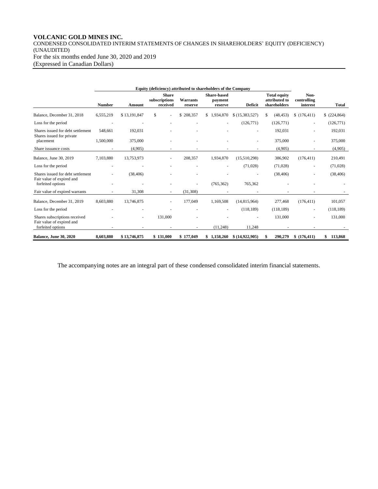# **VOLCANIC GOLD MINES INC.**

CONDENSED CONSOLIDATED INTERIM STATEMENTS OF CHANGES IN SHAREHOLDERS' EQUITY (DEFICIENCY) (UNAUDITED) For the six months ended June 30, 2020 and 2019 (Expressed in Canadian Dollars)

|                                                                | <b>Number</b> | Amount       | <b>Share</b><br>subscriptions<br>received | Warrants<br>reserve | <b>Share-based</b><br>payment<br>reserve | <b>Deficit</b> | <b>Total equity</b><br>attributed to<br>shareholders | Non-<br>controlling<br>interest | <b>Total</b>  |
|----------------------------------------------------------------|---------------|--------------|-------------------------------------------|---------------------|------------------------------------------|----------------|------------------------------------------------------|---------------------------------|---------------|
| Balance, December 31, 2018                                     | 6,555,219     | \$13,191,847 | \$                                        | \$208,357           | 1,934,870<br>\$                          | \$(15,383,527) | (48, 453)<br>\$                                      | \$(176, 411)                    | \$(224,864)   |
| Loss for the period                                            |               |              |                                           |                     |                                          | (126, 771)     | (126,771)                                            | $\overline{\phantom{a}}$        | (126,771)     |
| Shares issued for debt settlement<br>Shares issued for private | 548,661       | 192,031      |                                           |                     |                                          |                | 192,031                                              |                                 | 192,031       |
| placement                                                      | 1,500,000     | 375,000      |                                           |                     |                                          |                | 375,000                                              |                                 | 375,000       |
| Share issuance costs                                           |               | (4,905)      |                                           |                     |                                          |                | (4,905)                                              |                                 | (4,905)       |
| Balance, June 30, 2019                                         | 7,103,880     | 13,753,973   |                                           | 208,357             | 1,934,870                                | (15,510,298)   | 386,902                                              | (176, 411)                      | 210,491       |
| Loss for the period                                            |               |              |                                           |                     |                                          | (71,028)       | (71,028)                                             |                                 | (71,028)      |
| Shares issued for debt settlement<br>Fair value of expired and |               | (38, 406)    |                                           |                     |                                          |                | (38, 406)                                            |                                 | (38, 406)     |
| forfeited options                                              |               |              |                                           |                     | (765, 362)                               | 765,362        |                                                      |                                 |               |
| Fair value of expired warrants                                 |               | 31,308       |                                           | (31, 308)           |                                          |                |                                                      |                                 |               |
| Balance, December 31, 2019                                     | 8,603,880     | 13,746,875   |                                           | 177,049             | 1,169,508                                | (14,815,964)   | 277,468                                              | (176, 411)                      | 101,057       |
| Loss for the period                                            |               |              |                                           |                     |                                          | (118, 189)     | (118, 189)                                           | $\sim$                          | (118, 189)    |
| Shares subscriptions received<br>Fair value of expired and     |               | ٠            | 131,000                                   |                     |                                          |                | 131,000                                              |                                 | 131,000       |
| forfeited options                                              |               |              |                                           |                     | (11,248)                                 | 11,248         |                                                      |                                 |               |
| <b>Balance, June 30, 2020</b>                                  | 8,603,880     | \$13,746,875 | \$131,000                                 | \$177,049           | \$1,158,260                              | \$(14,922,905) | 290,279<br>S                                         | \$(176, 411)                    | 113,868<br>\$ |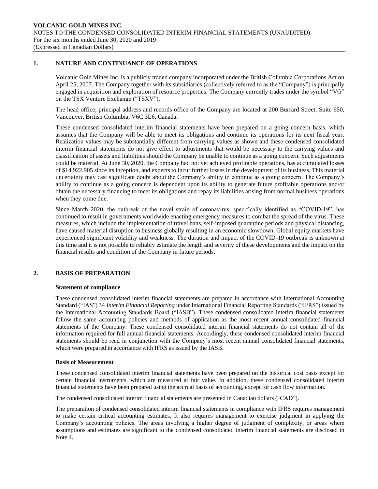## **1. NATURE AND CONTINUANCE OF OPERATIONS**

Volcanic Gold Mines Inc. is a publicly traded company incorporated under the British Columbia Corporations Act on April 25, 2007. The Company together with its subsidiaries (collectively referred to as the "Company") is principally engaged in acquisition and exploration of resource properties. The Company currently trades under the symbol "VG" on the TSX Venture Exchange ("TSXV").

The head office, principal address and records office of the Company are located at 200 Burrard Street, Suite 650, Vancouver, British Columbia, V6C 3L6, Canada.

These condensed consolidated interim financial statements have been prepared on a going concern basis, which assumes that the Company will be able to meet its obligations and continue its operations for its next fiscal year. Realization values may be substantially different from carrying values as shown and these condensed consolidated interim financial statements do not give effect to adjustments that would be necessary to the carrying values and classification of assets and liabilities should the Company be unable to continue as a going concern. Such adjustments could be material. At June 30, 2020, the Company had not yet achieved profitable operations, has accumulated losses of \$14,922,905 since its inception, and expects to incur further losses in the development of its business. This material uncertainty may cast significant doubt about the Company's ability to continue as a going concern. The Company's ability to continue as a going concern is dependent upon its ability to generate future profitable operations and/or obtain the necessary financing to meet its obligations and repay its liabilities arising from normal business operations when they come due.

Since March 2020, the outbreak of the novel strain of coronavirus, specifically identified as "COVID-19", has continued to result in governments worldwide enacting emergency measures to combat the spread of the virus. These measures, which include the implementation of travel bans, self-imposed quarantine periods and physical distancing, have caused material disruption to business globally resulting in an economic slowdown. Global equity markets have experienced significant volatility and weakness. The duration and impact of the COVID-19 outbreak is unknown at this time and it is not possible to reliably estimate the length and severity of these developments and the impact on the financial results and condition of the Company in future periods.

# **2. BASIS OF PREPARATION**

### **Statement of compliance**

These condensed consolidated interim financial statements are prepared in accordance with International Accounting Standard ("IAS") 34 *Interim Financial Reporting* under International Financial Reporting Standards ("IFRS") issued by the International Accounting Standards Board ("IASB"). These condensed consolidated interim financial statements follow the same accounting policies and methods of application as the most recent annual consolidated financial statements of the Company. These condensed consolidated interim financial statements do not contain all of the information required for full annual financial statements. Accordingly, these condensed consolidated interim financial statements should be read in conjunction with the Company's most recent annual consolidated financial statements, which were prepared in accordance with IFRS as issued by the IASB.

### **Basis of Measurement**

These condensed consolidated interim financial statements have been prepared on the historical cost basis except for certain financial instruments, which are measured at fair value. In addition, these condensed consolidated interim financial statements have been prepared using the accrual basis of accounting, except for cash flow information.

The condensed consolidated interim financial statements are presented in Canadian dollars ("CAD").

The preparation of condensed consolidated interim financial statements in compliance with IFRS requires management to make certain critical accounting estimates. It also requires management to exercise judgment in applying the Company's accounting policies. The areas involving a higher degree of judgment of complexity, or areas where assumptions and estimates are significant to the condensed consolidated interim financial statements are disclosed in Note 4.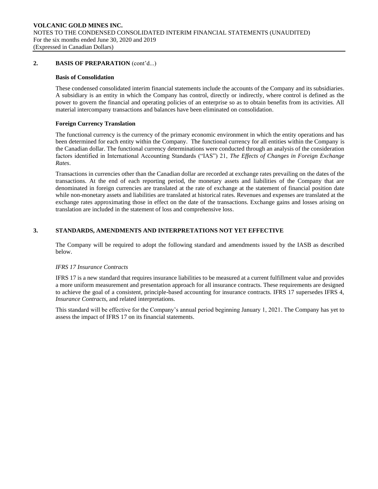## **2. BASIS OF PREPARATION** (cont'd...)

### **Basis of Consolidation**

These condensed consolidated interim financial statements include the accounts of the Company and its subsidiaries. A subsidiary is an entity in which the Company has control, directly or indirectly, where control is defined as the power to govern the financial and operating policies of an enterprise so as to obtain benefits from its activities. All material intercompany transactions and balances have been eliminated on consolidation.

### **Foreign Currency Translation**

The functional currency is the currency of the primary economic environment in which the entity operations and has been determined for each entity within the Company. The functional currency for all entities within the Company is the Canadian dollar. The functional currency determinations were conducted through an analysis of the consideration factors identified in International Accounting Standards ("IAS") 21, *The Effects of Changes in Foreign Exchange Rates*.

Transactions in currencies other than the Canadian dollar are recorded at exchange rates prevailing on the dates of the transactions. At the end of each reporting period, the monetary assets and liabilities of the Company that are denominated in foreign currencies are translated at the rate of exchange at the statement of financial position date while non-monetary assets and liabilities are translated at historical rates. Revenues and expenses are translated at the exchange rates approximating those in effect on the date of the transactions. Exchange gains and losses arising on translation are included in the statement of loss and comprehensive loss.

# **3. STANDARDS, AMENDMENTS AND INTERPRETATIONS NOT YET EFFECTIVE**

The Company will be required to adopt the following standard and amendments issued by the IASB as described below.

### *IFRS 17 Insurance Contracts*

IFRS 17 is a new standard that requires insurance liabilities to be measured at a current fulfillment value and provides a more uniform measurement and presentation approach for all insurance contracts. These requirements are designed to achieve the goal of a consistent, principle-based accounting for insurance contracts. IFRS 17 supersedes IFRS 4, *Insurance Contracts*, and related interpretations.

This standard will be effective for the Company's annual period beginning January 1, 2021. The Company has yet to assess the impact of IFRS 17 on its financial statements.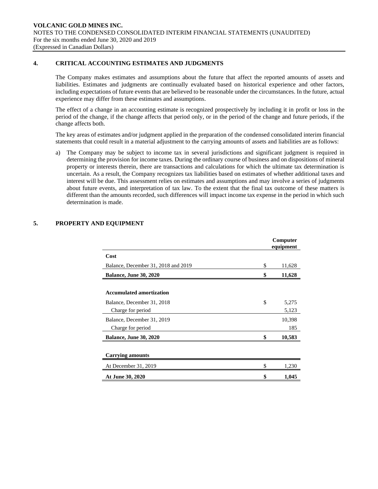## **4. CRITICAL ACCOUNTING ESTIMATES AND JUDGMENTS**

The Company makes estimates and assumptions about the future that affect the reported amounts of assets and liabilities. Estimates and judgments are continually evaluated based on historical experience and other factors, including expectations of future events that are believed to be reasonable under the circumstances. In the future, actual experience may differ from these estimates and assumptions.

The effect of a change in an accounting estimate is recognized prospectively by including it in profit or loss in the period of the change, if the change affects that period only, or in the period of the change and future periods, if the change affects both.

The key areas of estimates and/or judgment applied in the preparation of the condensed consolidated interim financial statements that could result in a material adjustment to the carrying amounts of assets and liabilities are as follows:

a) The Company may be subject to income tax in several jurisdictions and significant judgment is required in determining the provision for income taxes. During the ordinary course of business and on dispositions of mineral property or interests therein, there are transactions and calculations for which the ultimate tax determination is uncertain. As a result, the Company recognizes tax liabilities based on estimates of whether additional taxes and interest will be due. This assessment relies on estimates and assumptions and may involve a series of judgments about future events, and interpretation of tax law. To the extent that the final tax outcome of these matters is different than the amounts recorded, such differences will impact income tax expense in the period in which such determination is made.

|                                     | Computer<br>equipment |
|-------------------------------------|-----------------------|
| Cost                                |                       |
| Balance, December 31, 2018 and 2019 | \$<br>11,628          |
| <b>Balance, June 30, 2020</b>       | \$<br>11,628          |
|                                     |                       |
| <b>Accumulated amortization</b>     |                       |
| Balance, December 31, 2018          | \$<br>5,275           |
| Charge for period                   | 5,123                 |
| Balance, December 31, 2019          | 10,398                |
| Charge for period                   | 185                   |
| <b>Balance, June 30, 2020</b>       | \$<br>10,583          |
|                                     |                       |
| Carrying amounts                    |                       |
| At December 31, 2019                | \$<br>1,230           |
| At June 30, 2020                    | \$<br>1,045           |

# **5. PROPERTY AND EQUIPMENT**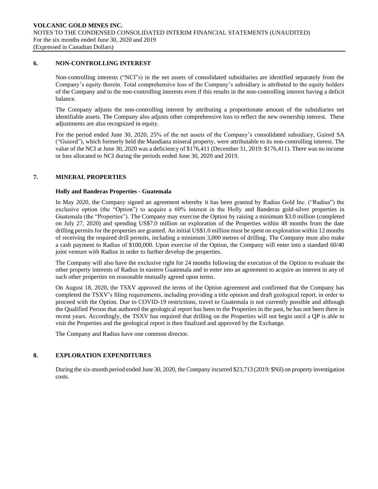## **6. NON-CONTROLLING INTEREST**

Non-controlling interests ("NCI"s) in the net assets of consolidated subsidiaries are identified separately from the Company's equity therein. Total comprehensive loss of the Company's subsidiary is attributed to the equity holders of the Company and to the non-controlling interests even if this results in the non-controlling interest having a deficit balance.

The Company adjusts the non-controlling interest by attributing a proportionate amount of the subsidiaries net identifiable assets. The Company also adjusts other comprehensive loss to reflect the new ownership interest. These adjustments are also recognized in equity.

For the period ended June 30, 2020, 25% of the net assets of the Company's consolidated subsidiary, Guiord SA ("Guiord"), which formerly held the Mandiana mineral property, were attributable to its non-controlling interest. The value of the NCI at June 30, 2020 was a deficiency of \$176,411 (December 31, 2019: \$176,411). There was no income or loss allocated to NCI during the periods ended June 30, 2020 and 2019.

## **7. MINERAL PROPERTIES**

## **Holly and Banderas Properties - Guatemala**

In May 2020, the Company signed an agreement whereby it has been granted by Radius Gold Inc. ("Radius") the exclusive option (the "Option") to acquire a 60% interest in the Holly and Banderas gold-silver properties in Guatemala (the "Properties"). The Company may exercise the Option by raising a minimum \$3.0 million (completed on July 27, 2020) and spending US\$7.0 million on exploration of the Properties within 48 months from the date drilling permits for the properties are granted. An initial US\$1.0 million must be spent on exploration within 12 months of receiving the required drill permits, including a minimum 3,000 metres of drilling. The Company must also make a cash payment to Radius of \$100,000. Upon exercise of the Option, the Company will enter into a standard 60/40 joint venture with Radius in order to further develop the properties.

The Company will also have the exclusive right for 24 months following the execution of the Option to evaluate the other property interests of Radius in eastern Guatemala and to enter into an agreement to acquire an interest in any of such other properties on reasonable mutually agreed upon terms.

On August 18, 2020, the TSXV approved the terms of the Option agreement and confirmed that the Company has completed the TSXV's filing requirements, including providing a title opinion and draft geological report, in order to proceed with the Option. Due to COVID-19 restrictions, travel to Guatemala is not currently possible and although the Qualified Person that authored the geological report has been to the Properties in the past, he has not been there in recent years. Accordingly, the TSXV has required that drilling on the Properties will not begin until a QP is able to visit the Properties and the geological report is then finalized and approved by the Exchange.

The Company and Radius have one common director.

# **8. EXPLORATION EXPENDITURES**

During the six-month period ended June 30, 2020, the Company incurred \$23,713 (2019: \$Nil) on property investigation costs.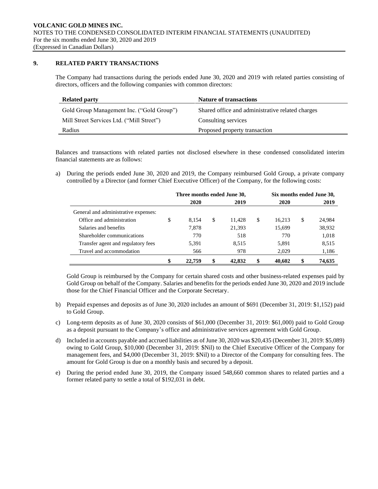# **9. RELATED PARTY TRANSACTIONS**

The Company had transactions during the periods ended June 30, 2020 and 2019 with related parties consisting of directors, officers and the following companies with common directors:

| <b>Related party</b>                      | <b>Nature of transactions</b>                    |
|-------------------------------------------|--------------------------------------------------|
| Gold Group Management Inc. ("Gold Group") | Shared office and administrative related charges |
| Mill Street Services Ltd. ("Mill Street") | Consulting services                              |
| Radius                                    | Proposed property transaction                    |

Balances and transactions with related parties not disclosed elsewhere in these condensed consolidated interim financial statements are as follows:

a) During the periods ended June 30, 2020 and 2019, the Company reimbursed Gold Group, a private company controlled by a Director (and former Chief Executive Officer) of the Company, for the following costs:

|                                      |   |        | Three months ended June 30, |        |    |        | Six months ended June 30, |        |
|--------------------------------------|---|--------|-----------------------------|--------|----|--------|---------------------------|--------|
|                                      |   | 2020   |                             | 2019   |    | 2020   |                           | 2019   |
| General and administrative expenses: |   |        |                             |        |    |        |                           |        |
| Office and administration            | S | 8.154  | \$                          | 11.428 | S  | 16.213 | \$                        | 24,984 |
| Salaries and benefits                |   | 7.878  |                             | 21,393 |    | 15,699 |                           | 38,932 |
| Shareholder communications           |   | 770    |                             | 518    |    | 770    |                           | 1,018  |
| Transfer agent and regulatory fees   |   | 5.391  |                             | 8.515  |    | 5,891  |                           | 8,515  |
| Travel and accommodation             |   | 566    |                             | 978    |    | 2.029  |                           | 1,186  |
|                                      |   | 22,759 | \$                          | 42,832 | \$ | 40,602 | \$                        | 74,635 |

Gold Group is reimbursed by the Company for certain shared costs and other business-related expenses paid by Gold Group on behalf of the Company. Salaries and benefits for the periods ended June 30, 2020 and 2019 include those for the Chief Financial Officer and the Corporate Secretary.

- b) Prepaid expenses and deposits as of June 30, 2020 includes an amount of \$691 (December 31, 2019: \$1,152) paid to Gold Group.
- c) Long-term deposits as of June 30, 2020 consists of \$61,000 (December 31, 2019: \$61,000) paid to Gold Group as a deposit pursuant to the Company's office and administrative services agreement with Gold Group.
- d) Included in accounts payable and accrued liabilities as of June 30, 2020 was \$20,435 (December 31, 2019: \$5,089) owing to Gold Group, \$10,000 (December 31, 2019: \$Nil) to the Chief Executive Officer of the Company for management fees, and \$4,000 (December 31, 2019: \$Nil) to a Director of the Company for consulting fees. The amount for Gold Group is due on a monthly basis and secured by a deposit.
- e) During the period ended June 30, 2019, the Company issued 548,660 common shares to related parties and a former related party to settle a total of \$192,031 in debt.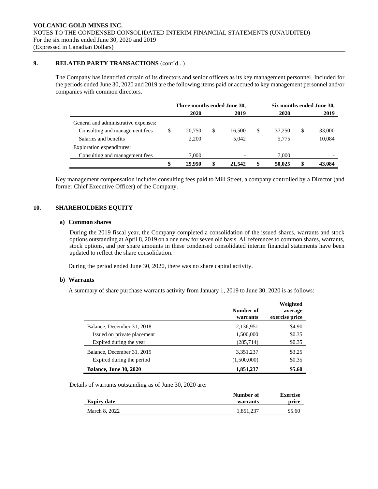# **9. RELATED PARTY TRANSACTIONS** (cont'd...)

The Company has identified certain of its directors and senior officers as its key management personnel. Included for the periods ended June 30, 2020 and 2019 are the following items paid or accrued to key management personnel and/or companies with common directors.

|                                      |    | Three months ended June 30, |    |        |    | Six months ended June 30, |              |
|--------------------------------------|----|-----------------------------|----|--------|----|---------------------------|--------------|
|                                      |    | 2020                        |    | 2019   |    | 2020                      | 2019         |
| General and administrative expenses: |    |                             |    |        |    |                           |              |
| Consulting and management fees       | S  | 20.750                      | \$ | 16.500 | S  | 37,250                    | \$<br>33,000 |
| Salaries and benefits                |    | 2.200                       |    | 5.042  |    | 5.775                     | 10,084       |
| Exploration expenditures:            |    |                             |    |        |    |                           |              |
| Consulting and management fees       |    | 7.000                       |    |        |    | 7,000                     |              |
|                                      | \$ | 29.950                      | \$ | 21,542 | \$ | 50,025                    | 43,084       |

Key management compensation includes consulting fees paid to Mill Street, a company controlled by a Director (and former Chief Executive Officer) of the Company.

## **10. SHAREHOLDERS EQUITY**

### **a) Common shares**

During the 2019 fiscal year, the Company completed a consolidation of the issued shares, warrants and stock options outstanding at April 8, 2019 on a one new for seven old basis. All references to common shares, warrants, stock options, and per share amounts in these condensed consolidated interim financial statements have been updated to reflect the share consolidation.

During the period ended June 30, 2020, there was no share capital activity.

## **b) Warrants**

A summary of share purchase warrants activity from January 1, 2019 to June 30, 2020 is as follows:

|                               | Number of<br>warrants | Weighted<br>average<br>exercise price |
|-------------------------------|-----------------------|---------------------------------------|
| Balance, December 31, 2018    | 2,136,951             | \$4.90                                |
| Issued on private placement   | 1,500,000             | \$0.35                                |
| Expired during the year       | (285,714)             | \$0.35                                |
| Balance, December 31, 2019    | 3,351,237             | \$3.25                                |
| Expired during the period     | (1,500,000)           | \$0.35                                |
| <b>Balance, June 30, 2020</b> | 1,851,237             | \$5.60                                |

Details of warrants outstanding as of June 30, 2020 are:

|                    | Number of | <b>Exercise</b> |
|--------------------|-----------|-----------------|
| <b>Expiry date</b> | warrants  | price           |
| March 8, 2022      | 1,851,237 | \$5.60          |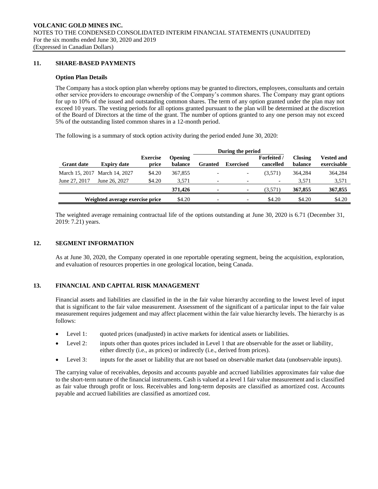## **11. SHARE-BASED PAYMENTS**

### **Option Plan Details**

The Company has a stock option plan whereby options may be granted to directors, employees, consultants and certain other service providers to encourage ownership of the Company's common shares. The Company may grant options for up to 10% of the issued and outstanding common shares. The term of any option granted under the plan may not exceed 10 years. The vesting periods for all options granted pursuant to the plan will be determined at the discretion of the Board of Directors at the time of the grant. The number of options granted to any one person may not exceed 5% of the outstanding listed common shares in a 12-month period.

The following is a summary of stock option activity during the period ended June 30, 2020:

|                   |                                 |                          |                           | During the period        |                          |                                 |                           |                                  |
|-------------------|---------------------------------|--------------------------|---------------------------|--------------------------|--------------------------|---------------------------------|---------------------------|----------------------------------|
| <b>Grant date</b> | <b>Expiry date</b>              | <b>Exercise</b><br>price | <b>Opening</b><br>balance | <b>Granted</b>           | <b>Exercised</b>         | <b>Forfeited</b> /<br>cancelled | <b>Closing</b><br>balance | <b>Vested and</b><br>exercisable |
|                   | March 15, 2017 March 14, 2027   | \$4.20                   | 367,855                   |                          | $\overline{\phantom{a}}$ | (3.571)                         | 364.284                   | 364,284                          |
| June 27, 2017     | June 26, 2027                   | \$4.20                   | 3.571                     | $\overline{\phantom{0}}$ | $\overline{\phantom{a}}$ | $\overline{\phantom{a}}$        | 3.571                     | 3,571                            |
|                   |                                 |                          | 371,426                   | $\blacksquare$           | $\sim$                   | (3.571)                         | 367,855                   | 367,855                          |
|                   | Weighted average exercise price |                          | \$4.20                    |                          | $\overline{\phantom{a}}$ | \$4.20                          | \$4.20                    | \$4.20                           |

The weighted average remaining contractual life of the options outstanding at June 30, 2020 is 6.71 (December 31, 2019: 7.21) years.

### **12. SEGMENT INFORMATION**

As at June 30, 2020, the Company operated in one reportable operating segment, being the acquisition, exploration, and evaluation of resources properties in one geological location, being Canada.

## **13. FINANCIAL AND CAPITAL RISK MANAGEMENT**

Financial assets and liabilities are classified in the in the fair value hierarchy according to the lowest level of input that is significant to the fair value measurement. Assessment of the significant of a particular input to the fair value measurement requires judgement and may affect placement within the fair value hierarchy levels. The hierarchy is as follows:

- Level 1: quoted prices (unadjusted) in active markets for identical assets or liabilities.
- Level 2: inputs other than quotes prices included in Level 1 that are observable for the asset or liability, either directly (i.e., as prices) or indirectly (i.e., derived from prices).
- Level 3: inputs for the asset or liability that are not based on observable market data (unobservable inputs).

The carrying value of receivables, deposits and accounts payable and accrued liabilities approximates fair value due to the short-term nature of the financial instruments. Cash is valued at a level 1 fair value measurement and is classified as fair value through profit or loss. Receivables and long-term deposits are classified as amortized cost. Accounts payable and accrued liabilities are classified as amortized cost.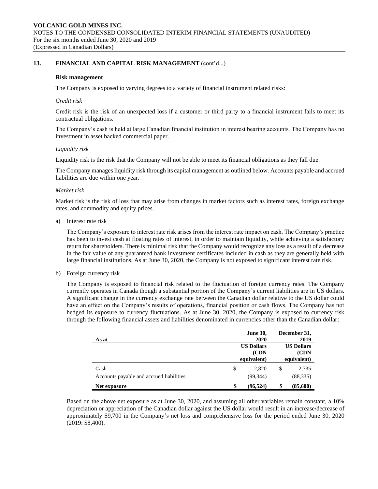## **13. FINANCIAL AND CAPITAL RISK MANAGEMENT** (cont'd...)

### **Risk management**

The Company is exposed to varying degrees to a variety of financial instrument related risks:

#### *Credit risk*

Credit risk is the risk of an unexpected loss if a customer or third party to a financial instrument fails to meet its contractual obligations.

The Company's cash is held at large Canadian financial institution in interest bearing accounts. The Company has no investment in asset backed commercial paper.

#### *Liquidity risk*

Liquidity risk is the risk that the Company will not be able to meet its financial obligations as they fall due.

The Company manages liquidity risk through its capital management as outlined below. Accounts payable and accrued liabilities are due within one year.

#### *Market risk*

Market risk is the risk of loss that may arise from changes in market factors such as interest rates, foreign exchange rates, and commodity and equity prices.

a) Interest rate risk

The Company's exposure to interest rate risk arises from the interest rate impact on cash. The Company's practice has been to invest cash at floating rates of interest, in order to maintain liquidity, while achieving a satisfactory return for shareholders. There is minimal risk that the Company would recognize any loss as a result of a decrease in the fair value of any guaranteed bank investment certificates included in cash as they are generally held with large financial institutions. As at June 30, 2020, the Company is not exposed to significant interest rate risk.

#### b) Foreign currency risk

The Company is exposed to financial risk related to the fluctuation of foreign currency rates. The Company currently operates in Canada though a substantial portion of the Company's current liabilities are in US dollars. A significant change in the currency exchange rate between the Canadian dollar relative to the US dollar could have an effect on the Company's results of operations, financial position or cash flows. The Company has not hedged its exposure to currency fluctuations. As at June 30, 2020, the Company is exposed to currency risk through the following financial assets and liabilities denominated in currencies other than the Canadian dollar:

|                                          | <b>June 30,</b>   |      | December 31,      |  |
|------------------------------------------|-------------------|------|-------------------|--|
| As at                                    | 2020              | 2019 |                   |  |
|                                          | <b>US Dollars</b> |      | <b>US Dollars</b> |  |
|                                          | (CDN)             |      | (CDN)             |  |
|                                          | equivalent)       |      | equivalent)       |  |
| Cash                                     | \$<br>2.820       | \$   | 2,735             |  |
| Accounts payable and accrued liabilities | (99, 344)         |      | (88, 335)         |  |
| Net exposure                             | \$<br>(96, 524)   | \$   | (85,600)          |  |

Based on the above net exposure as at June 30, 2020, and assuming all other variables remain constant, a 10% depreciation or appreciation of the Canadian dollar against the US dollar would result in an increase/decrease of approximately \$9,700 in the Company's net loss and comprehensive loss for the period ended June 30, 2020 (2019: \$8,400).